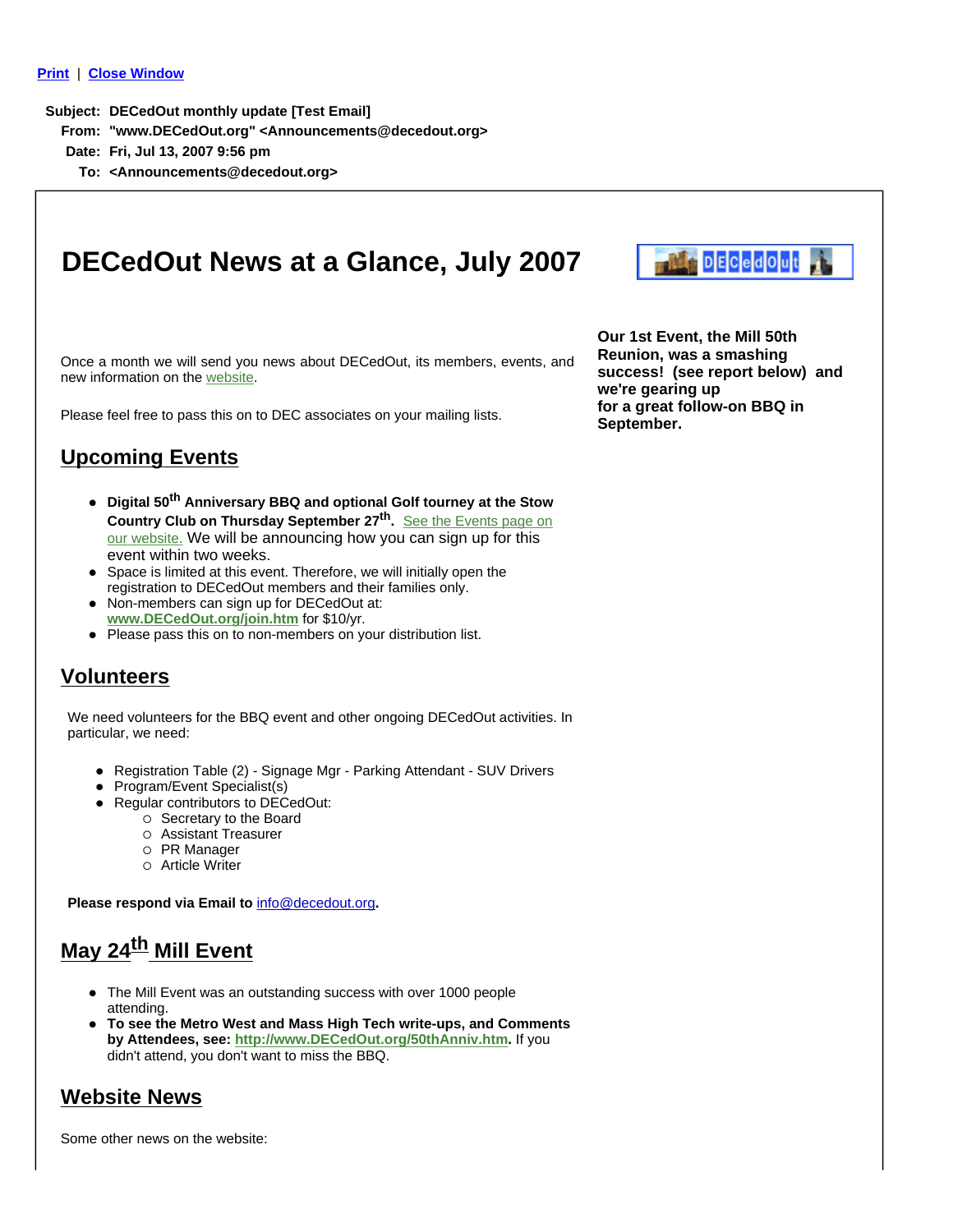#### **Print** | **Close Window**

**Subject: DECedOut monthly update [Test Email]**

- **From: "www.DECedOut.org" <Announcements@decedout.org>**
- **Date: Fri, Jul 13, 2007 9:56 pm**
	- **To: <Announcements@decedout.org>**

# **DECedOut News at a Glance, July 2007**

Once a month we will send you news about DECedOut, its members, events, and new information on the website.

Please feel free to pass this on to DEC associates on your mailing lists.

### **Upcoming Events**

- **Digital 50<sup>th</sup> Anniversary BBQ and optional Golf tourney at the Stow Country Club on Thursday September 27th.** See the Events page on our website. We will be announcing how you can sign up for this event within two weeks.
- Space is limited at this event. Therefore, we will initially open the registration to DECedOut members and their families only.
- Non-members can sign up for DECedOut at: **www.DECedOut.org/join.htm** for \$10/yr.
- Please pass this on to non-members on your distribution list.

### **Volunteers**

We need volunteers for the BBQ event and other ongoing DECedOut activities. In particular, we need:

- Registration Table (2) Signage Mgr Parking Attendant SUV Drivers
- Program/Event Specialist(s)
- Regular contributors to DECedOut:
	- { Secretary to the Board
	- { Assistant Treasurer
	- { PR Manager
	- { Article Writer

**Please respond via Email to** info@decedout.org**.**

## **May 24th Mill Event**

- The Mill Event was an outstanding success with over 1000 people attending.
- z **To see the Metro West and Mass High Tech write-ups, and Comments by Attendees, see: http://www.DECedOut.org/50thAnniv.htm.** If you didn't attend, you don't want to miss the BBQ.

### **Website News**

Some other news on the website:

**DECedOut** 

**Our 1st Event, the Mill 50th Reunion, was a smashing success! (see report below) and we're gearing up for a great follow-on BBQ in September.**